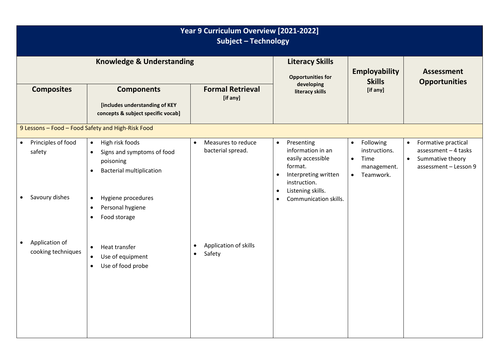| Year 9 Curriculum Overview [2021-2022]<br><b>Subject - Technology</b>    |                                                                                                                                                                                                                                       |                                                           |                                                                                                                                                                                                           |                                                                                                       |                                                                                                                    |  |  |  |  |  |
|--------------------------------------------------------------------------|---------------------------------------------------------------------------------------------------------------------------------------------------------------------------------------------------------------------------------------|-----------------------------------------------------------|-----------------------------------------------------------------------------------------------------------------------------------------------------------------------------------------------------------|-------------------------------------------------------------------------------------------------------|--------------------------------------------------------------------------------------------------------------------|--|--|--|--|--|
|                                                                          | <b>Knowledge &amp; Understanding</b>                                                                                                                                                                                                  |                                                           | <b>Literacy Skills</b><br><b>Opportunities for</b>                                                                                                                                                        | <b>Employability</b><br><b>Skills</b>                                                                 | <b>Assessment</b><br><b>Opportunities</b>                                                                          |  |  |  |  |  |
| <b>Composites</b>                                                        | <b>Components</b><br>[includes understanding of KEY<br>concepts & subject specific vocab]                                                                                                                                             | <b>Formal Retrieval</b><br>[if any]                       | developing<br>literacy skills                                                                                                                                                                             | [if any]                                                                                              |                                                                                                                    |  |  |  |  |  |
|                                                                          | 9 Lessons - Food - Food Safety and High-Risk Food                                                                                                                                                                                     |                                                           |                                                                                                                                                                                                           |                                                                                                       |                                                                                                                    |  |  |  |  |  |
| Principles of food<br>$\bullet$<br>safety<br>Savoury dishes<br>$\bullet$ | High risk foods<br>$\bullet$<br>Signs and symptoms of food<br>$\bullet$<br>poisoning<br><b>Bacterial multiplication</b><br>$\bullet$<br>Hygiene procedures<br>$\bullet$<br>Personal hygiene<br>$\bullet$<br>Food storage<br>$\bullet$ | Measures to reduce<br>$\bullet$<br>bacterial spread.      | Presenting<br>$\bullet$<br>information in an<br>easily accessible<br>format.<br>Interpreting written<br>$\bullet$<br>instruction.<br>Listening skills.<br>$\bullet$<br>Communication skills.<br>$\bullet$ | Following<br>$\bullet$<br>instructions.<br>Time<br>$\bullet$<br>management.<br>Teamwork.<br>$\bullet$ | Formative practical<br>$\bullet$<br>assessment - 4 tasks<br>Summative theory<br>$\bullet$<br>assessment - Lesson 9 |  |  |  |  |  |
| Application of<br>$\bullet$<br>cooking techniques                        | Heat transfer<br>$\bullet$<br>Use of equipment<br>$\bullet$<br>Use of food probe<br>$\bullet$                                                                                                                                         | Application of skills<br>$\bullet$<br>Safety<br>$\bullet$ |                                                                                                                                                                                                           |                                                                                                       |                                                                                                                    |  |  |  |  |  |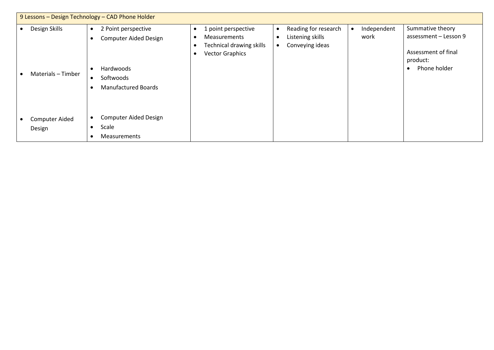| 9 Lessons - Design Technology - CAD Phone Holder |                                     |                                                                                                                                |                                                                                                                      |                                                             |                     |                                                                                              |  |  |
|--------------------------------------------------|-------------------------------------|--------------------------------------------------------------------------------------------------------------------------------|----------------------------------------------------------------------------------------------------------------------|-------------------------------------------------------------|---------------------|----------------------------------------------------------------------------------------------|--|--|
|                                                  | Design Skills<br>Materials - Timber | 2 Point perspective<br>$\bullet$<br><b>Computer Aided Design</b><br>Hardwoods<br>Softwoods<br>$\bullet$<br>Manufactured Boards | 1 point perspective<br>$\bullet$<br><b>Measurements</b><br>Technical drawing skills<br><b>Vector Graphics</b><br>- 0 | Reading for research<br>Listening skills<br>Conveying ideas | Independent<br>work | Summative theory<br>assessment - Lesson 9<br>Assessment of final<br>product:<br>Phone holder |  |  |
|                                                  | <b>Computer Aided</b><br>Design     | <b>Computer Aided Design</b><br>Scale<br>$\bullet$<br><b>Measurements</b>                                                      |                                                                                                                      |                                                             |                     |                                                                                              |  |  |